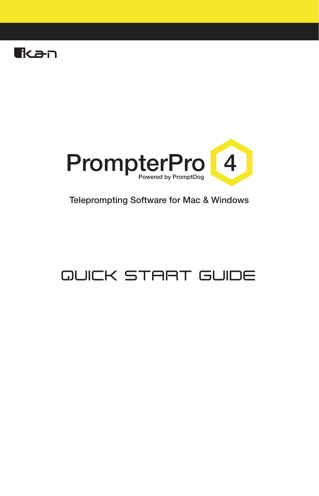



#### Teleprompting Software for Mac & Windows

# **QUICK START GUIDE**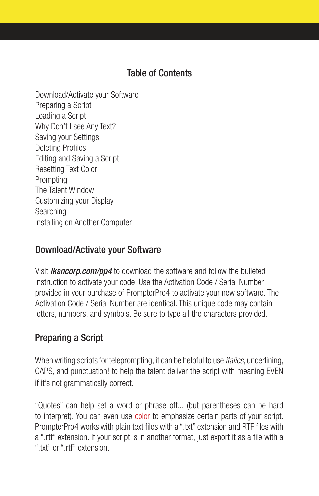## Table of Contents

Download/Activate your Software Preparing a Script Loading a Script Why Don't I see Any Text? Saving your Settings Deleting Profiles Editing and Saving a Script Resetting Text Color **Prompting** The Talent Window Customizing your Display Searching Installing on Another Computer

#### Download/Activate your Software

Visit *ikancorp.com/pp4* to download the software and follow the bulleted instruction to activate your code. Use the Activation Code / Serial Number provided in your purchase of PrompterPro4 to activate your new software. The Activation Code / Serial Number are identical. This unique code may contain letters, numbers, and symbols. Be sure to type all the characters provided.

## Preparing a Script

When writing scripts for teleprompting, it can be helpful to use *italics*, underlining, CAPS, and punctuation! to help the talent deliver the script with meaning EVEN if it's not grammatically correct.

"Quotes" can help set a word or phrase off... (but parentheses can be hard to interpret). You can even use color to emphasize certain parts of your script. PrompterPro4 works with plain text files with a ".txt" extension and RTF files with a ".rtf" extension. If your script is in another format, just export it as a file with a ".txt" or ".rtf" extension.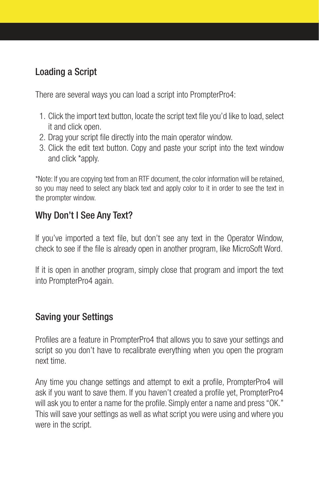# Loading a Script

There are several ways you can load a script into PrompterPro4:

- 1. Click the import text button, locate the script text file you'd like to load, select it and click open.
- 2. Drag your script file directly into the main operator window.
- 3. Click the edit text button. Copy and paste your script into the text window and click \*apply.

\*Note: If you are copying text from an RTF document, the color information will be retained, so you may need to select any black text and apply color to it in order to see the text in the prompter window.

## Why Don't I See Any Text?

If you've imported a text file, but don't see any text in the Operator Window, check to see if the file is already open in another program, like MicroSoft Word.

If it is open in another program, simply close that program and import the text into PrompterPro4 again.

## Saving your Settings

Profiles are a feature in PrompterPro4 that allows you to save your settings and script so you don't have to recalibrate everything when you open the program next time.

Any time you change settings and attempt to exit a profile, PrompterPro4 will ask if you want to save them. If you haven't created a profile yet, PrompterPro4 will ask you to enter a name for the profile. Simply enter a name and press "OK." This will save your settings as well as what script you were using and where you were in the script.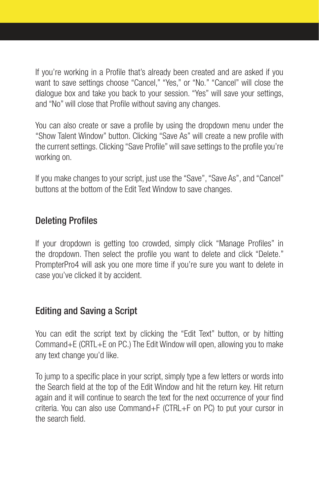If you're working in a Profile that's already been created and are asked if you want to save settings choose "Cancel," "Yes," or "No." "Cancel" will close the dialogue box and take you back to your session. "Yes" will save your settings, and "No" will close that Profile without saving any changes.

You can also create or save a profile by using the dropdown menu under the "Show Talent Window" button. Clicking "Save As" will create a new profile with the current settings. Clicking "Save Profile" will save settings to the profile you're working on.

If you make changes to your script, just use the "Save", "Save As", and "Cancel" buttons at the bottom of the Edit Text Window to save changes.

#### Deleting Profiles

If your dropdown is getting too crowded, simply click "Manage Profiles" in the dropdown. Then select the profile you want to delete and click "Delete." PrompterPro4 will ask you one more time if you're sure you want to delete in case you've clicked it by accident.

## Editing and Saving a Script

You can edit the script text by clicking the "Edit Text" button, or by hitting Command+E (CRTL+E on PC.) The Edit Window will open, allowing you to make any text change you'd like.

To jump to a specific place in your script, simply type a few letters or words into the Search field at the top of the Edit Window and hit the return key. Hit return again and it will continue to search the text for the next occurrence of your find criteria. You can also use Command+F (CTRL+F on PC) to put your cursor in the search field.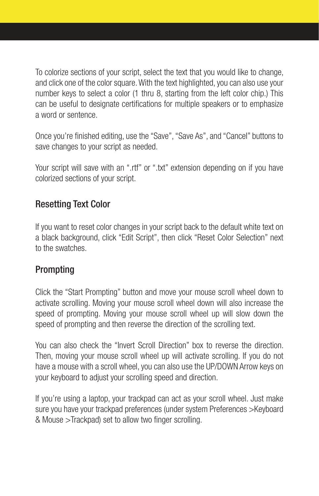To colorize sections of your script, select the text that you would like to change, and click one of the color square. With the text highlighted, you can also use your number keys to select a color (1 thru 8, starting from the left color chip.) This can be useful to designate certifications for multiple speakers or to emphasize a word or sentence.

Once you're finished editing, use the "Save", "Save As", and "Cancel" buttons to save changes to your script as needed.

Your script will save with an ".rtf" or ".txt" extension depending on if you have colorized sections of your script.

## Resetting Text Color

If you want to reset color changes in your script back to the default white text on a black background, click "Edit Script", then click "Reset Color Selection" next to the swatches.

## Prompting

Click the "Start Prompting" button and move your mouse scroll wheel down to activate scrolling. Moving your mouse scroll wheel down will also increase the speed of prompting. Moving your mouse scroll wheel up will slow down the speed of prompting and then reverse the direction of the scrolling text.

You can also check the "Invert Scroll Direction" box to reverse the direction. Then, moving your mouse scroll wheel up will activate scrolling. If you do not have a mouse with a scroll wheel, you can also use the UP/DOWN Arrow keys on your keyboard to adjust your scrolling speed and direction.

If you're using a laptop, your trackpad can act as your scroll wheel. Just make sure you have your trackpad preferences (under system Preferences >Keyboard & Mouse >Trackpad) set to allow two finger scrolling.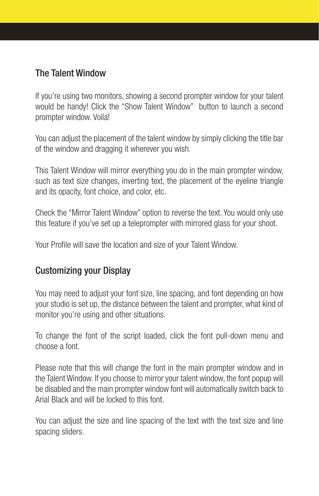## The Talent Window

If you're using two monitors, showing a second prompter window for your talent would be handy! Click the "Show Talent Window" button to launch a second prompter window. Voila!

You can adjust the placement of the talent window by simply clicking the title bar of the window and dragging it wherever you wish.

This Talent Window will mirror everything you do in the main prompter window, such as text size changes, inverting text, the placement of the eyeline triangle and its opacity, font choice, and color, etc.

Check the "Mirror Talent Window" option to reverse the text. You would only use this feature if you've set up a teleprompter with mirrored glass for your shoot.

Your Profile will save the location and size of your Talent Window.

## Customizing your Display

You may need to adjust your font size, line spacing, and font depending on how your studio is set up, the distance between the talent and prompter, what kind of monitor you're using and other situations.

To change the font of the script loaded, click the font pull-down menu and choose a font.

Please note that this will change the font in the main prompter window and in the Talent Window. If you choose to mirror your talent window, the font popup will be disabled and the main prompter window font will automatically switch back to Arial Black and will be locked to this font.

You can adjust the size and line spacing of the text with the text size and line spacing sliders.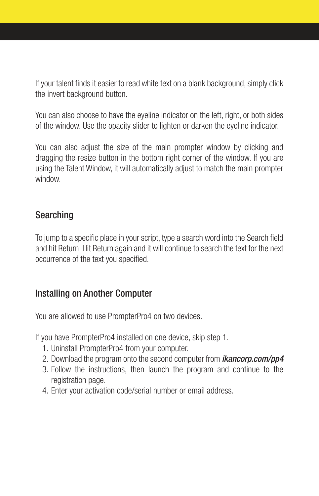If your talent finds it easier to read white text on a blank background, simply click the invert background button.

You can also choose to have the eyeline indicator on the left, right, or both sides of the window. Use the opacity slider to lighten or darken the eyeline indicator.

You can also adjust the size of the main prompter window by clicking and dragging the resize button in the bottom right corner of the window. If you are using the Talent Window, it will automatically adjust to match the main prompter window.

## Searching

To jump to a specific place in your script, type a search word into the Search field and hit Return. Hit Return again and it will continue to search the text for the next occurrence of the text you specified.

#### Installing on Another Computer

You are allowed to use PrompterPro4 on two devices.

If you have PrompterPro4 installed on one device, skip step 1.

- 1. Uninstall PrompterPro4 from your computer.
- 2. Download the program onto the second computer from *ikancorp.com/pp4*
- 3. Follow the instructions, then launch the program and continue to the registration page.
- 4. Enter your activation code/serial number or email address.